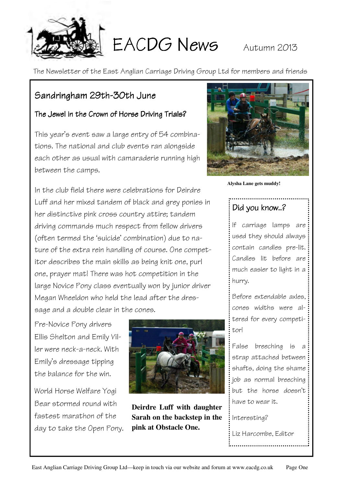

EACDG News Autumn 2013

The Newsletter of the East Anglian Carriage Driving Group Ltd for members and friends

#### Sandringham 29th-30th June

#### The Jewel in the Crown of Horse Driving Trials?

This year's event saw a large entry of 54 combinations. The national and club events ran alongside each other as usual with camaraderie running high between the camps.

In the club field there were celebrations for Deirdre Luff and her mixed tandem of black and grey ponies in her distinctive pink cross country attire; tandem driving commands much respect from fellow drivers (often termed the 'suicide' combination) due to nature of the extra rein handling of course. One competitor describes the main skills as being knit one, purl one, prayer mat! There was hot competition in the large Novice Pony class eventually won by junior driver Megan Wheeldon who held the lead after the dressage and a double clear in the cones.

Pre-Novice Pony drivers Ellis Shelton and Emily Viller were neck-a-neck. With Emily's dressage tipping the balance for the win.

World Horse Welfare Yogi Bear stormed round with fastest marathon of the day to take the Open Pony.



**Deirdre Luff with daughter Sarah on the backstep in the pink at Obstacle One.** 



**Alysha Lane gets muddy!** 

### Did you know..?

If carriage lamps are used they should always contain candles pre-lit. Candles lit before are much easier to light in a hurry.

Before extendable axles, cones widths were altered for every competitor!

False breeching is a strap attached between shafts, doing the shame job as normal breeching but the horse doesn't have to wear it.

Interesting?

Liz Harcombe, Editor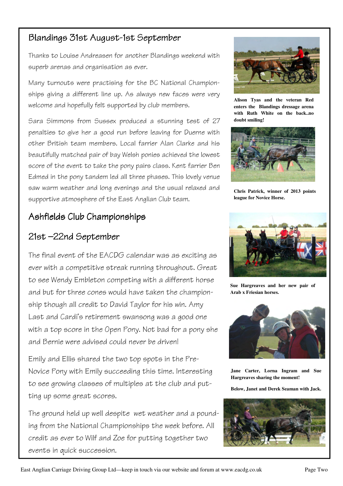#### Blandings 31st August-1st September

Thanks to Louise Andreasen for another Blandings weekend with superb arenas and organisation as ever.

Many turnouts were practising for the BC National Championships giving a different line up. As always new faces were very welcome and hopefully felt supported by club members.

Sara Simmons from Sussex produced a stunning test of 27 penalties to give her a good run before leaving for Duerne with other British team members. Local farrier Alan Clarke and his beautifully matched pair of bay Welsh ponies achieved the lowest score of the event to take the pony pairs class. Kent farrier Ben Edmed in the pony tandem led all three phases. This lovely venue saw warm weather and long evenings and the usual relaxed and supportive atmosphere of the East Anglian Club team.

#### Ashfields Club Championships

### 21st-22nd September

The final event of the EACDG calendar was as exciting as ever with a competitive streak running throughout. Great to see Wendy Embleton competing with a different horse and but for three cones would have taken the championship though all credit to David Taylor for his win. Amy Last and Cardi's retirement swansong was a good one with a top score in the Open Pony. Not bad for a pony she and Bernie were advised could never be driven!

Emily and Ellis shared the two top spots in the Pre-Novice Pony with Emily succeeding this time. Interesting to see growing classes of multiples at the club and putting up some great scores.

The ground held up well despite wet weather and a pounding from the National Championships the week before. All credit as ever to Wilf and Zoe for putting together two events in quick succession.



**Alison Tyas and the veteran Red enters the Blandings dressage arena with Ruth White on the back..no doubt smiling!** 



**Chris Patrick, winner of 2013 points league for Novice Horse.** 



**Sue Hargreaves and her new pair of Arab x Friesian horses.** 



**Jane Carter, Lorna Ingram and Sue Hargreaves sharing the moment!** 

**Below, Janet and Derek Seaman with Jack.** 

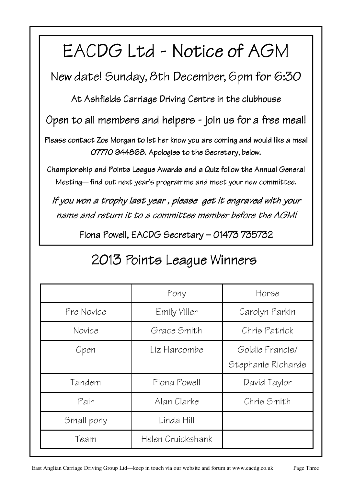# EACDG Ltd - Notice of AGM

New date! Sunday, 8th December, 6pm for 6:30

At Ashfields Carriage Driving Centre in the clubhouse

Open to all members and helpers - join us for a free meal!

Please contact Zoe Morgan to let her know you are coming and would like a meal 07770 944868. Apologies to the Secretary, below.

Championship and Points League Awards and a Quiz follow the Annual General Meeting—find out next year's programme and meet your new committee.

If you won a trophy last year , please get it engraved with your name and return it to a committee member before the AGM!

Fiona Powell, EACDG Secretary – 01473 735732

|            | Pony              | Horse                                 |
|------------|-------------------|---------------------------------------|
| Pre Novice | Emily Viller      | Carolyn Parkin                        |
| Novice     | Grace Smith       | Chris Patrick                         |
| Open       | Liz Harcombe      | Goldie Francis/<br>Stephanie Richards |
| Tandem     | Fiona Powell      | David Taylor                          |
| Pair       | Alan Clarke       | Chris Smith                           |
| Small pony | Linda Hill        |                                       |
| Team       | Helen Cruickshank |                                       |

# 2013 Points League Winners